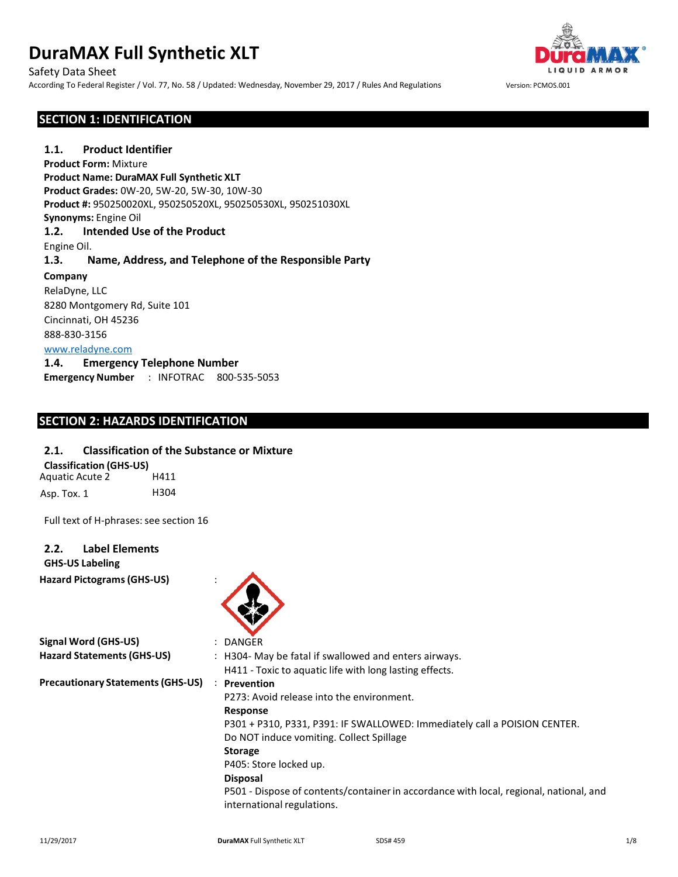Safety Data Sheet

According To Federal Register / Vol. 77, No. 58 / Updated: Wednesday, November 29, 2017 / Rules And Regulations Version: PCMOS.001



# **SECTION 1: IDENTIFICATION**

**1.1. Product Identifier Product Form:** Mixture **Product Name: DuraMAX Full Synthetic XLT Product Grades:** 0W-20, 5W-20, 5W-30, 10W-30 **Product #:** 950250020XL, 950250520XL, 950250530XL, 950251030XL **Synonyms:** Engine Oil **1.2. Intended Use of the Product** Engine Oil. **1.3. Name, Address, and Telephone of the Responsible Party Company** RelaDyne, LLC 8280 Montgomery Rd, Suite 101 Cincinnati, OH 45236 888-830-3156 [www.reladyne.com](http://www.reladyne.com/) **1.4. Emergency Telephone Number Emergency Number** : INFOTRAC 800-535-5053

# **SECTION 2: HAZARDS IDENTIFICATION**

### **2.1. Classification of the Substance or Mixture**

Aquatic Acute 2 H411 Asp. Tox. 1 H304 **Classification (GHS-US)**

Full text of H-phrases: see section 16

### **2.2. Label Elements**

**GHS-US Labeling**

**Hazard Pictograms(GHS-US)** :



| <b>Signal Word (GHS-US)</b>              | DANGER                                                                                                               |  |
|------------------------------------------|----------------------------------------------------------------------------------------------------------------------|--|
| <b>Hazard Statements (GHS-US)</b>        | : H304- May be fatal if swallowed and enters airways.                                                                |  |
|                                          | H411 - Toxic to aquatic life with long lasting effects.                                                              |  |
| <b>Precautionary Statements (GHS-US)</b> | <b>Prevention</b>                                                                                                    |  |
|                                          | P273: Avoid release into the environment.                                                                            |  |
|                                          | Response                                                                                                             |  |
|                                          | P301 + P310, P331, P391: IF SWALLOWED: Immediately call a POISION CENTER.                                            |  |
|                                          | Do NOT induce vomiting. Collect Spillage                                                                             |  |
|                                          | <b>Storage</b>                                                                                                       |  |
|                                          | P405: Store locked up.                                                                                               |  |
|                                          | <b>Disposal</b>                                                                                                      |  |
|                                          | P501 - Dispose of contents/container in accordance with local, regional, national, and<br>international regulations. |  |
|                                          |                                                                                                                      |  |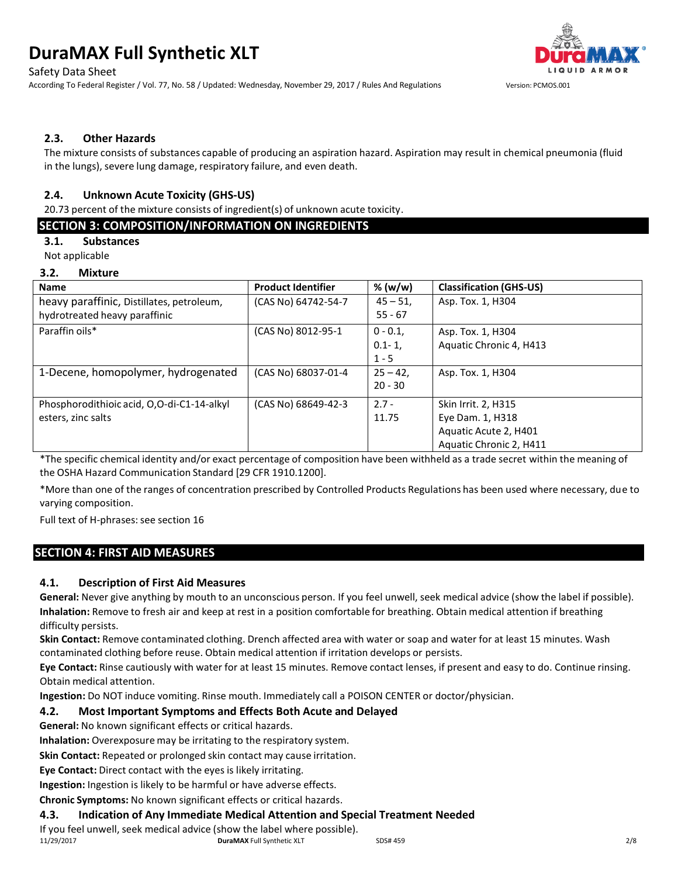Safety Data Sheet

According To Federal Register / Vol. 77, No. 58 / Updated: Wednesday, November 29, 2017 / Rules And Regulations Version: PCMOS.001



### **2.3. Other Hazards**

The mixture consists of substances capable of producing an aspiration hazard. Aspiration may result in chemical pneumonia (fluid in the lungs), severe lung damage, respiratory failure, and even death.

# **2.4. Unknown Acute Toxicity (GHS-US)**

20.73 percent of the mixture consists of ingredient(s) of unknown acute toxicity.

# **SECTION 3: COMPOSITION/INFORMATION ON INGREDIENTS**

# **3.1. Substances**

Not applicable

#### **3.2. Mixture**

| -<br>                                      |                           |             |                                |
|--------------------------------------------|---------------------------|-------------|--------------------------------|
| <b>Name</b>                                | <b>Product Identifier</b> | % (w/w)     | <b>Classification (GHS-US)</b> |
| heavy paraffinic, Distillates, petroleum,  | (CAS No) 64742-54-7       | $45 - 51$ , | Asp. Tox. 1, H304              |
| hydrotreated heavy paraffinic              |                           | $55 - 67$   |                                |
| Paraffin oils*                             | (CAS No) 8012-95-1        | $0 - 0.1$   | Asp. Tox. 1, H304              |
|                                            |                           | $0.1 - 1$   | Aquatic Chronic 4, H413        |
|                                            |                           | $1 - 5$     |                                |
| 1-Decene, homopolymer, hydrogenated        | (CAS No) 68037-01-4       | $25 - 42$   | Asp. Tox. 1, H304              |
|                                            |                           | $20 - 30$   |                                |
| Phosphorodithioic acid, O,O-di-C1-14-alkyl | (CAS No) 68649-42-3       | $2.7 -$     | Skin Irrit. 2, H315            |
| esters, zinc salts                         |                           | 11.75       | Eye Dam. 1, H318               |
|                                            |                           |             | Aquatic Acute 2, H401          |
|                                            |                           |             | Aquatic Chronic 2, H411        |

\*The specific chemical identity and/or exact percentage of composition have been withheld as a trade secret within the meaning of the OSHA Hazard Communication Standard [29 CFR 1910.1200].

\*More than one of the ranges of concentration prescribed by Controlled Products Regulations has been used where necessary, due to varying composition.

Full text of H-phrases: see section 16

# **SECTION 4: FIRST AID MEASURES**

# **4.1. Description of First Aid Measures**

**General:** Never give anything by mouth to an unconscious person. If you feel unwell, seek medical advice (show the label if possible). **Inhalation:** Remove to fresh air and keep at rest in a position comfortable for breathing. Obtain medical attention if breathing difficulty persists.

**Skin Contact:** Remove contaminated clothing. Drench affected area with water or soap and water for at least 15 minutes. Wash contaminated clothing before reuse. Obtain medical attention if irritation develops or persists.

**Eye Contact:** Rinse cautiously with water for at least 15 minutes. Remove contact lenses, if present and easy to do. Continue rinsing. Obtain medical attention.

**Ingestion:** Do NOT induce vomiting. Rinse mouth. Immediately call a POISON CENTER or doctor/physician.

#### **4.2. Most Important Symptoms and Effects Both Acute and Delayed**

**General:** No known significant effects or critical hazards.

**Inhalation:** Overexposure may be irritating to the respiratory system.

**Skin Contact:** Repeated or prolonged skin contact may cause irritation.

**Eye Contact:** Direct contact with the eyes is likely irritating.

**Ingestion:** Ingestion is likely to be harmful or have adverse effects.

**Chronic Symptoms:** No known significant effects or critical hazards.

#### **4.3. Indication of Any Immediate Medical Attention and Special Treatment Needed**

11/29/2017 **DuraMAX** Full Synthetic XLT SDS# 459 2/8 If you feel unwell, seek medical advice (show the label where possible).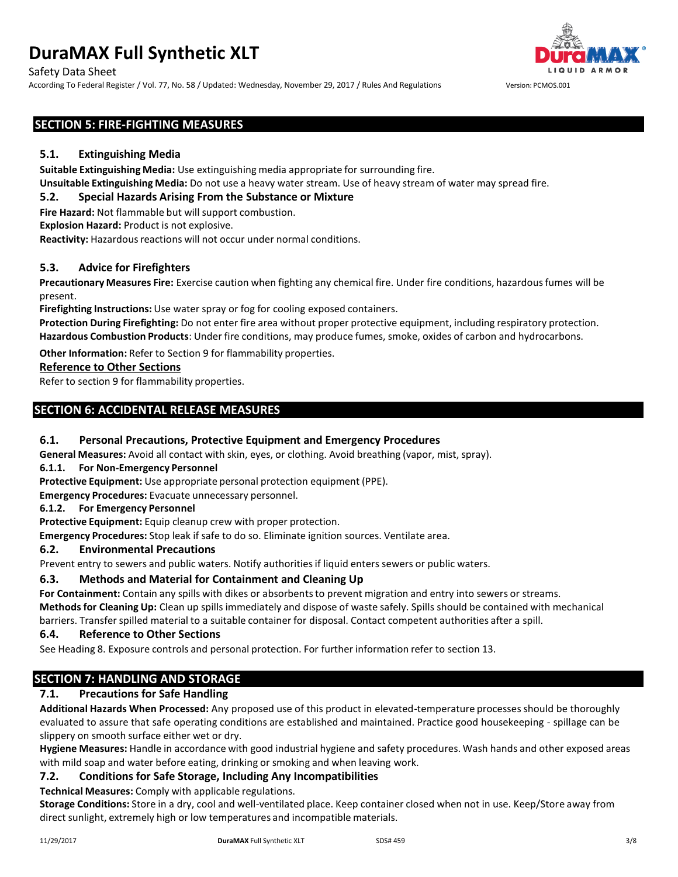Safety Data Sheet

According To Federal Register / Vol. 77, No. 58 / Updated: Wednesday, November 29, 2017 / Rules And Regulations Version: PCMOS.001



# **SECTION 5: FIRE-FIGHTING MEASURES**

#### **5.1. Extinguishing Media**

**Suitable Extinguishing Media:** Use extinguishing media appropriate for surrounding fire.

**Unsuitable Extinguishing Media:** Do not use a heavy water stream. Use of heavy stream of water may spread fire.

### **5.2. Special Hazards Arising From the Substance or Mixture**

**Fire Hazard:** Not flammable but will support combustion.

**Explosion Hazard:** Product is not explosive.

**Reactivity:** Hazardous reactions will not occur under normal conditions.

#### **5.3. Advice for Firefighters**

**Precautionary Measures Fire:** Exercise caution when fighting any chemical fire. Under fire conditions, hazardousfumes will be present.

**Firefighting Instructions:** Use water spray or fog for cooling exposed containers.

**Protection During Firefighting:** Do not enter fire area without proper protective equipment, including respiratory protection. **Hazardous Combustion Products**: Under fire conditions, may produce fumes, smoke, oxides of carbon and hydrocarbons.

**Other Information:** Refer to Section 9 for flammability properties.

#### **Reference to Other Sections**

Refer to section 9 for flammability properties.

# **SECTION 6: ACCIDENTAL RELEASE MEASURES**

#### **6.1. Personal Precautions, Protective Equipment and Emergency Procedures**

**General Measures:** Avoid all contact with skin, eyes, or clothing. Avoid breathing (vapor, mist, spray).

#### **6.1.1. For Non-Emergency Personnel**

**Protective Equipment:** Use appropriate personal protection equipment (PPE).

**Emergency Procedures:** Evacuate unnecessary personnel.

#### **6.1.2. For Emergency Personnel**

**Protective Equipment:** Equip cleanup crew with proper protection.

**Emergency Procedures:** Stop leak if safe to do so. Eliminate ignition sources. Ventilate area.

#### **6.2. Environmental Precautions**

Prevent entry to sewers and public waters. Notify authoritiesif liquid enters sewers or public waters.

#### **6.3. Methods and Material for Containment and Cleaning Up**

For **Containment:** Contain any spills with dikes or absorbents to prevent migration and entry into sewers or streams.

**Methodsfor Cleaning Up:** Clean up spills immediately and dispose of waste safely. Spills should be contained with mechanical barriers. Transferspilled material to a suitable container for disposal. Contact competent authorities after a spill.

#### **6.4. Reference to Other Sections**

See Heading 8. Exposure controls and personal protection. For further information refer to section 13.

# **SECTION 7: HANDLING AND STORAGE**

# **7.1. Precautions for Safe Handling**

**Additional Hazards When Processed:** Any proposed use of this product in elevated-temperature processes should be thoroughly evaluated to assure that safe operating conditions are established and maintained. Practice good housekeeping - spillage can be slippery on smooth surface either wet or dry.

**Hygiene Measures:** Handle in accordance with good industrial hygiene and safety procedures. Wash hands and other exposed areas with mild soap and water before eating, drinking or smoking and when leaving work.

#### **7.2. Conditions for Safe Storage, Including Any Incompatibilities**

**Technical Measures:** Comply with applicable regulations.

**Storage Conditions:** Store in a dry, cool and well-ventilated place. Keep container closed when not in use. Keep/Store away from direct sunlight, extremely high or low temperatures and incompatible materials.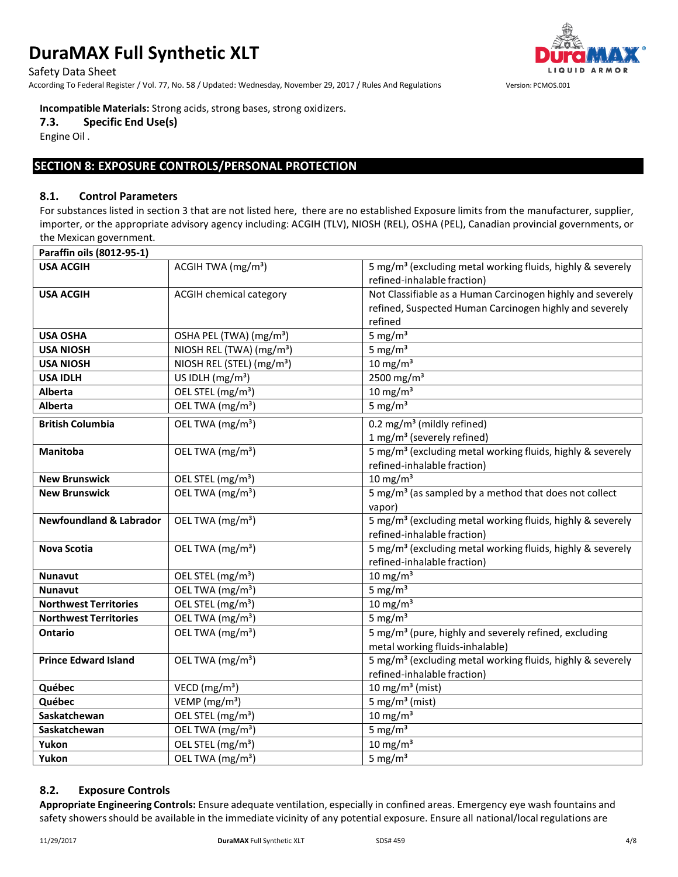Safety Data Sheet

According To Federal Register / Vol. 77, No. 58 / Updated: Wednesday, November 29, 2017 / Rules And Regulations Version: PCMOS.001



#### **Incompatible Materials:** Strong acids, strong bases, strong oxidizers.

**7.3. Specific End Use(s)**

Engine Oil .

# **SECTION 8: EXPOSURE CONTROLS/PERSONAL PROTECTION**

#### **8.1. Control Parameters**

For substanceslisted in section 3 that are not listed here, there are no established Exposure limits from the manufacturer, supplier, importer, or the appropriate advisory agency including: ACGIH (TLV), NIOSH (REL), OSHA (PEL), Canadian provincial governments, or the Mexican government.

| Paraffin oils (8012-95-1)          |                                       |                                                                        |
|------------------------------------|---------------------------------------|------------------------------------------------------------------------|
| <b>USA ACGIH</b>                   | ACGIH TWA (mg/m <sup>3</sup> )        | 5 mg/m <sup>3</sup> (excluding metal working fluids, highly & severely |
|                                    |                                       | refined-inhalable fraction)                                            |
| <b>USA ACGIH</b>                   | <b>ACGIH chemical category</b>        | Not Classifiable as a Human Carcinogen highly and severely             |
|                                    |                                       | refined, Suspected Human Carcinogen highly and severely                |
|                                    |                                       | refined                                                                |
| <b>USA OSHA</b>                    | OSHA PEL (TWA) (mg/m <sup>3</sup> )   | 5 mg/ $m3$                                                             |
| <b>USA NIOSH</b>                   | NIOSH REL (TWA) (mg/m <sup>3</sup> )  | 5 mg/ $m3$                                                             |
| <b>USA NIOSH</b>                   | NIOSH REL (STEL) (mg/m <sup>3</sup> ) | $10 \text{ mg/m}^3$                                                    |
| <b>USA IDLH</b>                    | US IDLH $(mg/m3)$                     | $2500$ mg/m <sup>3</sup>                                               |
| Alberta                            | OEL STEL (mg/m <sup>3</sup> )         | $10 \text{ mg/m}^3$                                                    |
| Alberta                            | OEL TWA (mg/m <sup>3</sup> )          | 5 mg/ $m3$                                                             |
| <b>British Columbia</b>            | OEL TWA (mg/m <sup>3</sup> )          | 0.2 mg/m <sup>3</sup> (mildly refined)                                 |
|                                    |                                       | 1 mg/m <sup>3</sup> (severely refined)                                 |
| Manitoba                           | OEL TWA (mg/m <sup>3</sup> )          | 5 mg/m <sup>3</sup> (excluding metal working fluids, highly & severely |
|                                    |                                       | refined-inhalable fraction)                                            |
| <b>New Brunswick</b>               | OEL STEL (mg/m <sup>3</sup> )         | $10 \text{ mg/m}^3$                                                    |
| <b>New Brunswick</b>               | OEL TWA (mg/m <sup>3</sup> )          | 5 mg/m <sup>3</sup> (as sampled by a method that does not collect      |
|                                    |                                       | vapor)                                                                 |
| <b>Newfoundland &amp; Labrador</b> | OEL TWA (mg/m <sup>3</sup> )          | 5 mg/m <sup>3</sup> (excluding metal working fluids, highly & severely |
|                                    |                                       | refined-inhalable fraction)                                            |
| <b>Nova Scotia</b>                 | OEL TWA (mg/m <sup>3</sup> )          | 5 mg/m <sup>3</sup> (excluding metal working fluids, highly & severely |
|                                    |                                       | refined-inhalable fraction)                                            |
| <b>Nunavut</b>                     | OEL STEL (mg/m <sup>3</sup> )         | $10 \text{ mg/m}^3$                                                    |
| <b>Nunavut</b>                     | OEL TWA (mg/m <sup>3</sup> )          | 5 mg/ $m3$                                                             |
| <b>Northwest Territories</b>       | OEL STEL (mg/m <sup>3</sup> )         | $10$ mg/m <sup>3</sup>                                                 |
| <b>Northwest Territories</b>       | OEL TWA (mg/m <sup>3</sup> )          | 5 mg/ $m3$                                                             |
| <b>Ontario</b>                     | OEL TWA ( $mg/m3$ )                   | 5 mg/m <sup>3</sup> (pure, highly and severely refined, excluding      |
|                                    |                                       | metal working fluids-inhalable)                                        |
| <b>Prince Edward Island</b>        | OEL TWA (mg/m <sup>3</sup> )          | 5 mg/m <sup>3</sup> (excluding metal working fluids, highly & severely |
|                                    |                                       | refined-inhalable fraction)                                            |
| Québec                             | VECD ( $mg/m3$ )                      | 10 mg/m <sup>3</sup> (mist)                                            |
| Québec                             | VEMP (mg/m <sup>3</sup> )             | 5 mg/m <sup>3</sup> (mist)                                             |
| Saskatchewan                       | OEL STEL (mg/m <sup>3</sup> )         | $10$ mg/m <sup>3</sup>                                                 |
| Saskatchewan                       | OEL TWA (mg/m <sup>3</sup> )          | 5 mg/ $m3$                                                             |
| Yukon                              | OEL STEL (mg/m <sup>3</sup> )         | $10$ mg/m <sup>3</sup>                                                 |
| Yukon                              | OEL TWA (mg/m <sup>3</sup> )          | 5 mg/ $m3$                                                             |

# **8.2. Exposure Controls**

**Appropriate Engineering Controls:** Ensure adequate ventilation, especially in confined areas. Emergency eye wash fountains and safety showers should be available in the immediate vicinity of any potential exposure. Ensure all national/local regulations are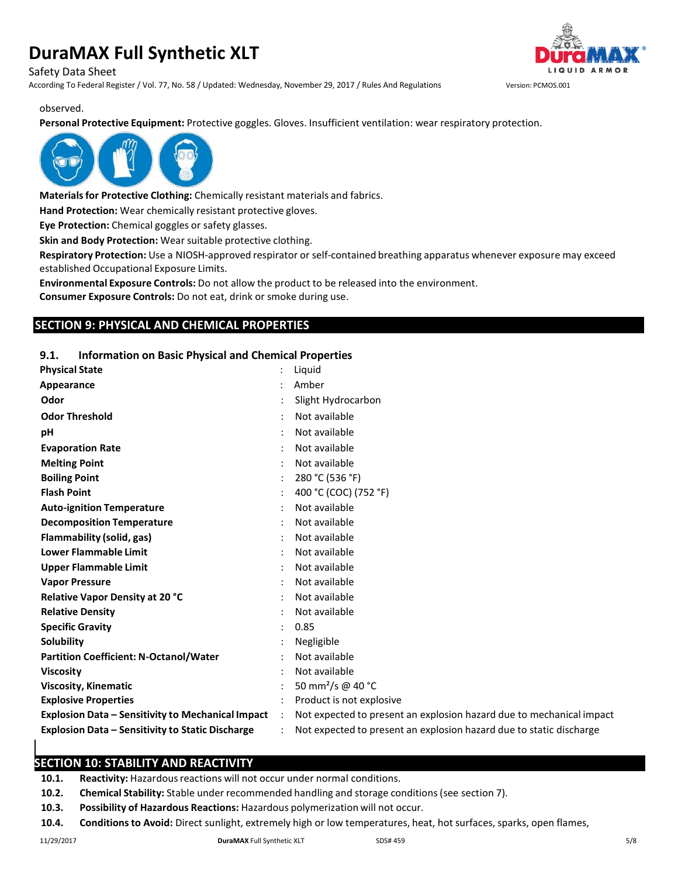Safety Data Sheet

According To Federal Register / Vol. 77, No. 58 / Updated: Wednesday, November 29, 2017 / Rules And Regulations Version: PCMOS.001



observed.

**Personal Protective Equipment:** Protective goggles. Gloves. Insufficient ventilation: wear respiratory protection.



**Materialsfor Protective Clothing:** Chemically resistant materials and fabrics.

**Hand Protection:** Wear chemically resistant protective gloves.

**Eye Protection:** Chemical goggles or safety glasses.

**Skin and Body Protection:** Wear suitable protective clothing.

**Respiratory Protection:** Use a NIOSH-approved respirator or self-contained breathing apparatus whenever exposure may exceed established Occupational Exposure Limits.

**Environmental Exposure Controls:** Do not allow the product to be released into the environment.

**Consumer Exposure Controls:** Do not eat, drink or smoke during use.

# **SECTION 9: PHYSICAL AND CHEMICAL PROPERTIES**

### **9.1. Information on Basic Physical and Chemical Properties**

| <b>Physical State</b>                                    |               | Liquid                                                               |
|----------------------------------------------------------|---------------|----------------------------------------------------------------------|
| Appearance                                               |               | Amber                                                                |
| Odor                                                     |               | Slight Hydrocarbon                                                   |
| <b>Odor Threshold</b>                                    |               | Not available                                                        |
| рH                                                       |               | Not available                                                        |
| <b>Evaporation Rate</b>                                  |               | Not available                                                        |
| <b>Melting Point</b>                                     |               | Not available                                                        |
| <b>Boiling Point</b>                                     |               | 280 °C (536 °F)                                                      |
| <b>Flash Point</b>                                       |               | 400 °C (COC) (752 °F)                                                |
| <b>Auto-ignition Temperature</b>                         |               | Not available                                                        |
| <b>Decomposition Temperature</b>                         |               | Not available                                                        |
| Flammability (solid, gas)                                |               | Not available                                                        |
| <b>Lower Flammable Limit</b>                             |               | Not available                                                        |
| <b>Upper Flammable Limit</b>                             |               | Not available                                                        |
| <b>Vapor Pressure</b>                                    |               | Not available                                                        |
| <b>Relative Vapor Density at 20 °C</b>                   |               | Not available                                                        |
| <b>Relative Density</b>                                  |               | Not available                                                        |
| <b>Specific Gravity</b>                                  |               | 0.85                                                                 |
| Solubility                                               |               | Negligible                                                           |
| <b>Partition Coefficient: N-Octanol/Water</b>            |               | Not available                                                        |
| <b>Viscosity</b>                                         |               | Not available                                                        |
| <b>Viscosity, Kinematic</b>                              |               | 50 mm <sup>2</sup> /s @ 40 °C                                        |
| <b>Explosive Properties</b>                              |               | Product is not explosive                                             |
| <b>Explosion Data - Sensitivity to Mechanical Impact</b> | $\mathcal{L}$ | Not expected to present an explosion hazard due to mechanical impact |
| <b>Explosion Data - Sensitivity to Static Discharge</b>  |               | Not expected to present an explosion hazard due to static discharge  |
|                                                          |               |                                                                      |

# **SECTION 10: STABILITY AND REACTIVITY**

10.1. **Reactivity:** Hazardous reactions will not occur under normal conditions.

- **10.2. Chemical Stability:** Stable under recommended handling and storage conditions(see section 7).
- **10.3. Possibility of Hazardous Reactions:** Hazardous polymerization will not occur.
- **10.4. Conditionsto Avoid:** Direct sunlight, extremely high or low temperatures, heat, hot surfaces, sparks, open flames,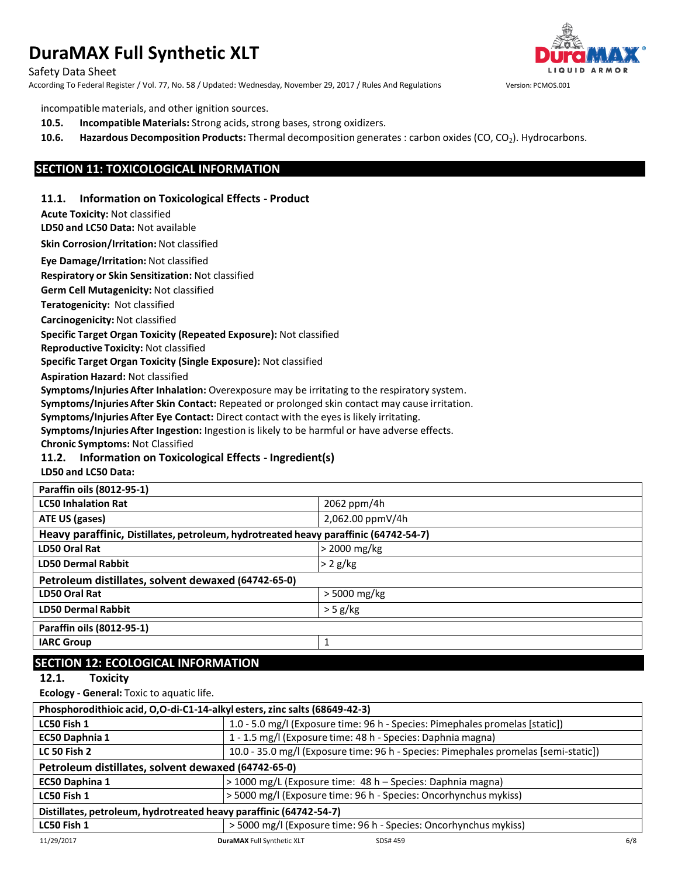Safety Data Sheet

According To Federal Register / Vol. 77, No. 58 / Updated: Wednesday, November 29, 2017 / Rules And Regulations Version: PCMOS.001



incompatible materials, and other ignition sources.

- **10.5. Incompatible Materials:** Strong acids, strong bases, strong oxidizers.
- **10.6. Hazardous Decomposition Products:** Thermal decomposition generates : carbon oxides (CO, CO2). Hydrocarbons.

### **SECTION 11: TOXICOLOGICAL INFORMATION**

#### **11.1. Information on Toxicological Effects - Product**

**Acute Toxicity:** Not classified

**LD50 and LC50 Data:** Not available

**Skin Corrosion/Irritation:** Not classified

**Eye Damage/Irritation:** Not classified

**Respiratory or Skin Sensitization:** Not classified

**Germ Cell Mutagenicity:** Not classified

**Teratogenicity:** Not classified

**Carcinogenicity:** Not classified

**Specific Target Organ Toxicity (Repeated Exposure):** Not classified

**Reproductive Toxicity:** Not classified

**Specific Target Organ Toxicity (Single Exposure):** Not classified

**Aspiration Hazard:** Not classified

**Symptoms/Injuries After Inhalation:** Overexposure may be irritating to the respiratory system.

**Symptoms/Injuries After Skin Contact:** Repeated or prolonged skin contact may cause irritation.

**Symptoms/Injuries After Eye Contact:** Direct contact with the eyes is likely irritating.

**Symptoms/Injuries After Ingestion:** Ingestion is likely to be harmful or have adverse effects.

**Chronic Symptoms:** Not Classified

#### **11.2. Information on Toxicological Effects - Ingredient(s)**

**LD50 and LC50 Data:**

| Paraffin oils (8012-95-1)                                                            |                  |  |
|--------------------------------------------------------------------------------------|------------------|--|
| <b>LC50 Inhalation Rat</b>                                                           | 2062 ppm/4h      |  |
| ATE US (gases)                                                                       | 2,062.00 ppmV/4h |  |
| Heavy paraffinic, Distillates, petroleum, hydrotreated heavy paraffinic (64742-54-7) |                  |  |
| LD50 Oral Rat                                                                        | > 2000 mg/kg     |  |
| <b>LD50 Dermal Rabbit</b>                                                            | $> 2$ g/kg       |  |
| Petroleum distillates, solvent dewaxed (64742-65-0)                                  |                  |  |
| LD50 Oral Rat                                                                        | $>$ 5000 mg/kg   |  |
| <b>LD50 Dermal Rabbit</b>                                                            | $>$ 5 g/kg       |  |
| Paraffin oils (8012-95-1)                                                            |                  |  |
| <b>IARC Group</b>                                                                    | 1                |  |
|                                                                                      |                  |  |

# **SECTION 12: ECOLOGICAL INFORMATION**

**12.1. Toxicity**

**Ecology - General:** Toxic to aquatic life.

| Phosphorodithioic acid, O,O-di-C1-14-alkyl esters, zinc salts (68649-42-3) |                                                                                     |     |
|----------------------------------------------------------------------------|-------------------------------------------------------------------------------------|-----|
| LC50 Fish 1                                                                | 1.0 - 5.0 mg/l (Exposure time: 96 h - Species: Pimephales promelas [static])        |     |
| EC50 Daphnia 1                                                             | 1 - 1.5 mg/l (Exposure time: 48 h - Species: Daphnia magna)                         |     |
| <b>LC 50 Fish 2</b>                                                        | 10.0 - 35.0 mg/l (Exposure time: 96 h - Species: Pimephales promelas [semi-static]) |     |
| Petroleum distillates, solvent dewaxed (64742-65-0)                        |                                                                                     |     |
| EC50 Daphina 1                                                             | > 1000 mg/L (Exposure time: 48 h – Species: Daphnia magna)                          |     |
| LC50 Fish 1                                                                | > 5000 mg/l (Exposure time: 96 h - Species: Oncorhynchus mykiss)                    |     |
| Distillates, petroleum, hydrotreated heavy paraffinic (64742-54-7)         |                                                                                     |     |
| LC50 Fish 1                                                                | > 5000 mg/l (Exposure time: 96 h - Species: Oncorhynchus mykiss)                    |     |
| 11/29/2017                                                                 | <b>DuraMAX Full Synthetic XLT</b><br>SDS# 459                                       | 6/8 |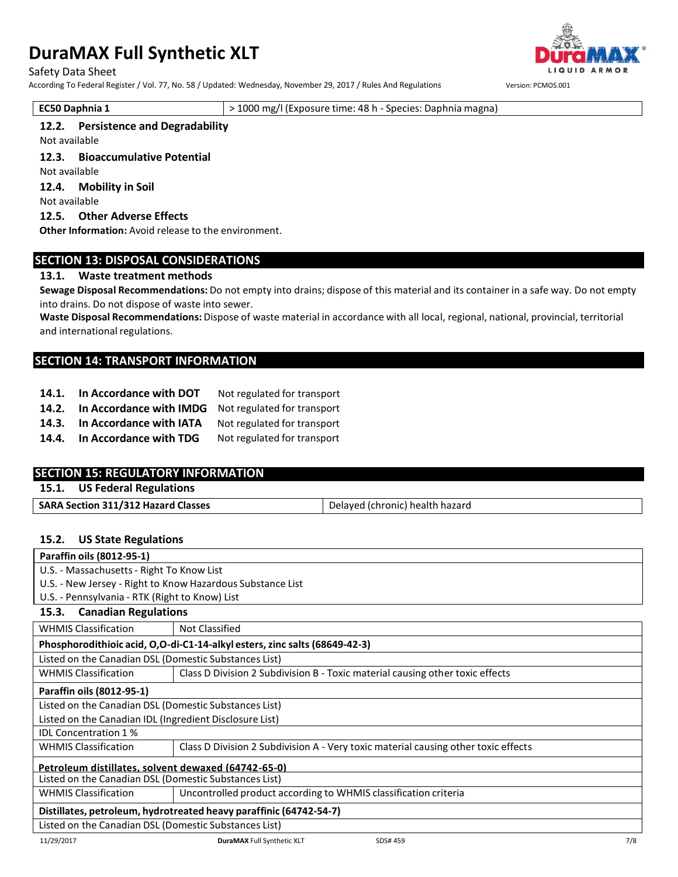Safety Data Sheet

According To Federal Register / Vol. 77, No. 58 / Updated: Wednesday, November 29, 2017 / Rules And Regulations Version: PCMOS.001

QUID ARMOR

**EC50 Daphnia 1** > 1000 mg/l (Exposure time: 48 h - Species: Daphnia magna)

#### **12.2. Persistence and Degradability**

Not available

**12.3. Bioaccumulative Potential**

Not available

**12.4. Mobility in Soil** Not available

**12.5. Other Adverse Effects**

**Other Information:** Avoid release to the environment.

# **SECTION 13: DISPOSAL CONSIDERATIONS**

#### **13.1. Waste treatment methods**

**Sewage Disposal Recommendations:** Do not empty into drains; dispose of this material and its container in a safe way. Do not empty into drains. Do not dispose of waste into sewer.

**Waste Disposal Recommendations:** Dispose of waste material in accordance with all local, regional, national, provincial, territorial and international regulations.

# **SECTION 14: TRANSPORT INFORMATION**

- **14.1. In Accordance with DOT** Not regulated for transport
- **14.2. In Accordance with IMDG** Not regulated for transport
- **14.3. In Accordance with IATA** Not regulated for transport
- **14.4. In Accordance with TDG** Not regulated for transport

# **SECTION 15: REGULATORY INFORMATION**

**15.1. US Federal Regulations**

|--|

### **15.2. US State Regulations**

| Paraffin oils (8012-95-1)                                          |                                                                                    |     |  |
|--------------------------------------------------------------------|------------------------------------------------------------------------------------|-----|--|
| U.S. - Massachusetts - Right To Know List                          |                                                                                    |     |  |
|                                                                    | U.S. - New Jersey - Right to Know Hazardous Substance List                         |     |  |
| U.S. - Pennsylvania - RTK (Right to Know) List                     |                                                                                    |     |  |
| 15.3. Canadian Regulations                                         |                                                                                    |     |  |
| <b>WHMIS Classification</b>                                        | Not Classified                                                                     |     |  |
|                                                                    | Phosphorodithioic acid, O,O-di-C1-14-alkyl esters, zinc salts (68649-42-3)         |     |  |
| Listed on the Canadian DSL (Domestic Substances List)              |                                                                                    |     |  |
| <b>WHMIS Classification</b>                                        | Class D Division 2 Subdivision B - Toxic material causing other toxic effects      |     |  |
| Paraffin oils (8012-95-1)                                          |                                                                                    |     |  |
| Listed on the Canadian DSL (Domestic Substances List)              |                                                                                    |     |  |
| Listed on the Canadian IDL (Ingredient Disclosure List)            |                                                                                    |     |  |
| <b>IDL Concentration 1%</b>                                        |                                                                                    |     |  |
| <b>WHMIS Classification</b>                                        | Class D Division 2 Subdivision A - Very toxic material causing other toxic effects |     |  |
| Petroleum distillates, solvent dewaxed (64742-65-0)                |                                                                                    |     |  |
| Listed on the Canadian DSL (Domestic Substances List)              |                                                                                    |     |  |
| <b>WHMIS Classification</b>                                        | Uncontrolled product according to WHMIS classification criteria                    |     |  |
| Distillates, petroleum, hydrotreated heavy paraffinic (64742-54-7) |                                                                                    |     |  |
| Listed on the Canadian DSL (Domestic Substances List)              |                                                                                    |     |  |
| 11/29/2017                                                         | <b>DuraMAX Full Synthetic XLT</b><br>SDS# 459                                      | 7/8 |  |